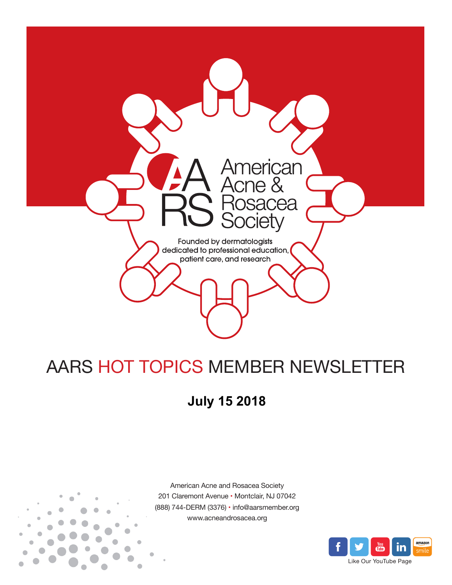

# AARS HOT TOPICS MEMBER NEWSLETTER

## **July 15 2018**



American Acne and Rosacea Society 201 Claremont Avenue • Montclair, NJ 07042 (888) 744-DERM (3376) • info@aarsmember.org www.acneandrosacea.org

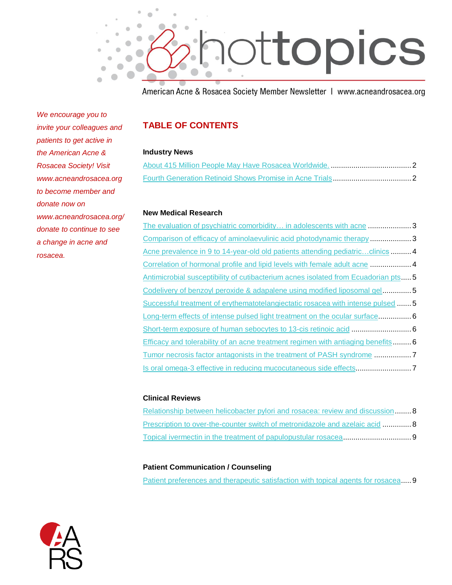

American Acne & Rosacea Society Member Newsletter | www.acneandrosacea.org

*We encourage you to invite your colleagues and patients to get active in the American Acne & Rosacea Society! Visit www.acneandrosacea.org to become member and donate now on www.acneandrosacea.org/ donate to continue to see a change in acne and rosacea.*

## **TABLE OF CONTENTS**

#### **Industry News**

#### **New Medical Research**

The evaluation of psychiatric comorbidity... in adolescents with acne ........................3 [Comparison of efficacy of aminolaevulinic acid photodynamic therapy](#page-3-1) ....................3 Acne prevalence in 9 to 14-year-old old patients attending pediatric...clinics .......... 4 [Correlation of hormonal profile and lipid levels with female adult acne](#page-4-1) ....................4 [Antimicrobial susceptibility of cutibacterium acnes isolated from Ecuadorian](#page-5-0) pts..... 5 [Codelivery of benzoyl peroxide & adapalene using modified liposomal gel.](#page-5-1).............5 [Successful treatment of erythematotelangiectatic rosacea with intense pulsed](#page-5-2) .......5 [Long-term effects of intense pulsed light treatment on the ocular surface.](#page-6-0)................ 6 [Short-term exposure of human sebocytes to 13-cis retinoic acid](#page-6-1) .............................6 [Efficacy and tolerability of an acne treatment regimen with antiaging benefits.](#page-6-2)........ 6 [Tumor necrosis factor antagonists in the treatment of](#page-7-0) PASH syndrome ..................7 [Is oral omega-3 effective in reducing mucocutaneous side effects.](#page-7-1)..........................7

## **Clinical Reviews**

| Relationship between helicobacter pylori and rosacea: review and discussion  8 |  |
|--------------------------------------------------------------------------------|--|
| Prescription to over-the-counter switch of metronidazole and azelaic acid 8    |  |
|                                                                                |  |

## **Patient Communication / Counseling**

[Patient preferences and therapeutic satisfaction with topical agents for rosacea.](#page-9-1)....9

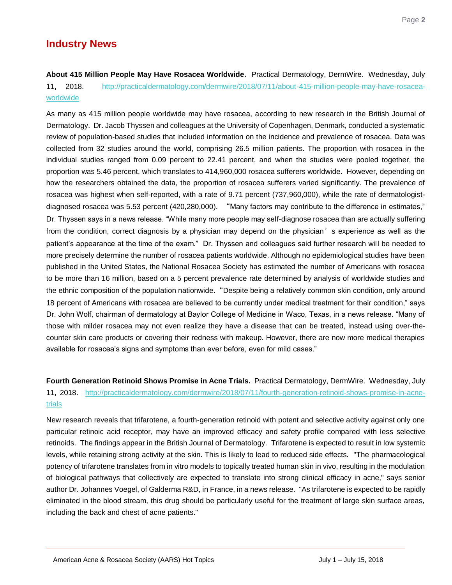<span id="page-2-0"></span>**About 415 Million People May Have Rosacea Worldwide.** Practical Dermatology, DermWire. Wednesday, July 11, 2018. [http://practicaldermatology.com/dermwire/2018/07/11/about-415-million-people-may-have-rosacea](http://practicaldermatology.com/dermwire/2018/07/11/about-415-million-people-may-have-rosacea-worldwide)[worldwide](http://practicaldermatology.com/dermwire/2018/07/11/about-415-million-people-may-have-rosacea-worldwide) 

As many as 415 million people worldwide may have rosacea, according to new research in the British Journal of Dermatology. Dr. Jacob Thyssen and colleagues at the University of Copenhagen, Denmark, conducted a systematic review of population-based studies that included information on the incidence and prevalence of rosacea. Data was collected from 32 studies around the world, comprising 26.5 million patients. The proportion with rosacea in the individual studies ranged from 0.09 percent to 22.41 percent, and when the studies were pooled together, the proportion was 5.46 percent, which translates to 414,960,000 rosacea sufferers worldwide. However, depending on how the researchers obtained the data, the proportion of rosacea sufferers varied significantly. The prevalence of rosacea was highest when self-reported, with a rate of 9.71 percent (737,960,000), while the rate of dermatologistdiagnosed rosacea was 5.53 percent (420,280,000). "Many factors may contribute to the difference in estimates," Dr. Thyssen says in a news release. "While many more people may self-diagnose rosacea than are actually suffering from the condition, correct diagnosis by a physician may depend on the physician's experience as well as the patient's appearance at the time of the exam." Dr. Thyssen and colleagues said further research will be needed to more precisely determine the number of rosacea patients worldwide. Although no epidemiological studies have been published in the United States, the National Rosacea Society has estimated the number of Americans with rosacea to be more than 16 million, based on a 5 percent prevalence rate determined by analysis of worldwide studies and the ethnic composition of the population nationwide."Despite being a relatively common skin condition, only around 18 percent of Americans with rosacea are believed to be currently under medical treatment for their condition," says Dr. John Wolf, chairman of dermatology at Baylor College of Medicine in Waco, Texas, in a news release. "Many of those with milder rosacea may not even realize they have a disease that can be treated, instead using over-thecounter skin care products or covering their redness with makeup. However, there are now more medical therapies available for rosacea's signs and symptoms than ever before, even for mild cases."

<span id="page-2-1"></span>**Fourth Generation Retinoid Shows Promise in Acne Trials.** Practical Dermatology, DermWire. Wednesday, July 11, 2018. [http://practicaldermatology.com/dermwire/2018/07/11/fourth-generation-retinoid-shows-promise-in-acne](http://practicaldermatology.com/dermwire/2018/07/11/fourth-generation-retinoid-shows-promise-in-acne-trials)[trials](http://practicaldermatology.com/dermwire/2018/07/11/fourth-generation-retinoid-shows-promise-in-acne-trials) 

New research reveals that trifarotene, a fourth-generation retinoid with potent and selective activity against only one particular retinoic acid receptor, may have an improved efficacy and safety profile compared with less selective retinoids. The findings appear in the British Journal of Dermatology. Trifarotene is expected to result in low systemic levels, while retaining strong activity at the skin. This is likely to lead to reduced side effects. "The pharmacological potency of trifarotene translates from in vitro models to topically treated human skin in vivo, resulting in the modulation of biological pathways that collectively are expected to translate into strong clinical efficacy in acne," says senior author Dr. Johannes Voegel, of Galderma R&D, in France, in a news release. "As trifarotene is expected to be rapidly eliminated in the blood stream, this drug should be particularly useful for the treatment of large skin surface areas, including the back and chest of acne patients."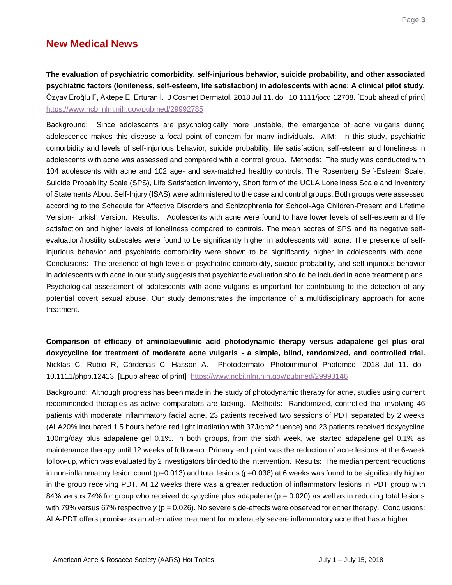## **New Medical News**

<span id="page-3-0"></span>**The evaluation of psychiatric comorbidity, self-injurious behavior, suicide probability, and other associated psychiatric factors (lonileness, self-esteem, life satisfaction) in adolescents with acne: A clinical pilot study.**  Özyay Eroğlu F, Aktepe E, Erturan İ. J Cosmet Dermatol. 2018 Jul 11. doi: 10.1111/jocd.12708. [Epub ahead of print] <https://www.ncbi.nlm.nih.gov/pubmed/29992785>

Background: Since adolescents are psychologically more unstable, the emergence of acne vulgaris during adolescence makes this disease a focal point of concern for many individuals. AIM: In this study, psychiatric comorbidity and levels of self-injurious behavior, suicide probability, life satisfaction, self-esteem and loneliness in adolescents with acne was assessed and compared with a control group. Methods: The study was conducted with 104 adolescents with acne and 102 age- and sex-matched healthy controls. The Rosenberg Self-Esteem Scale, Suicide Probability Scale (SPS), Life Satisfaction Inventory, Short form of the UCLA Loneliness Scale and Inventory of Statements About Self-Injury (ISAS) were administered to the case and control groups. Both groups were assessed according to the Schedule for Affective Disorders and Schizophrenia for School-Age Children-Present and Lifetime Version-Turkish Version. Results: Adolescents with acne were found to have lower levels of self-esteem and life satisfaction and higher levels of loneliness compared to controls. The mean scores of SPS and its negative selfevaluation/hostility subscales were found to be significantly higher in adolescents with acne. The presence of selfinjurious behavior and psychiatric comorbidity were shown to be significantly higher in adolescents with acne. Conclusions: The presence of high levels of psychiatric comorbidity, suicide probability, and self-injurious behavior in adolescents with acne in our study suggests that psychiatric evaluation should be included in acne treatment plans. Psychological assessment of adolescents with acne vulgaris is important for contributing to the detection of any potential covert sexual abuse. Our study demonstrates the importance of a multidisciplinary approach for acne treatment.

<span id="page-3-1"></span>**Comparison of efficacy of aminolaevulinic acid photodynamic therapy versus adapalene gel plus oral doxycycline for treatment of moderate acne vulgaris - a simple, blind, randomized, and controlled trial.** Nicklas C, Rubio R, Cárdenas C, Hasson A. Photodermatol Photoimmunol Photomed. 2018 Jul 11. doi: 10.1111/phpp.12413. [Epub ahead of print] <https://www.ncbi.nlm.nih.gov/pubmed/29993146>

Background: Although progress has been made in the study of photodynamic therapy for acne, studies using current recommended therapies as active comparators are lacking. Methods: Randomized, controlled trial involving 46 patients with moderate inflammatory facial acne, 23 patients received two sessions of PDT separated by 2 weeks (ALA20% incubated 1.5 hours before red light irradiation with 37J/cm2 fluence) and 23 patients received doxycycline 100mg/day plus adapalene gel 0.1%. In both groups, from the sixth week, we started adapalene gel 0.1% as maintenance therapy until 12 weeks of follow-up. Primary end point was the reduction of acne lesions at the 6-week follow-up, which was evaluated by 2 investigators blinded to the intervention. Results: The median percent reductions in non-inflammatory lesion count ( $p=0.013$ ) and total lesions ( $p=0.038$ ) at 6 weeks was found to be significantly higher in the group receiving PDT. At 12 weeks there was a greater reduction of inflammatory lesions in PDT group with 84% versus 74% for group who received doxycycline plus adapalene ( $p = 0.020$ ) as well as in reducing total lesions with 79% versus 67% respectively ( $p = 0.026$ ). No severe side-effects were observed for either therapy. Conclusions: ALA-PDT offers promise as an alternative treatment for moderately severe inflammatory acne that has a higher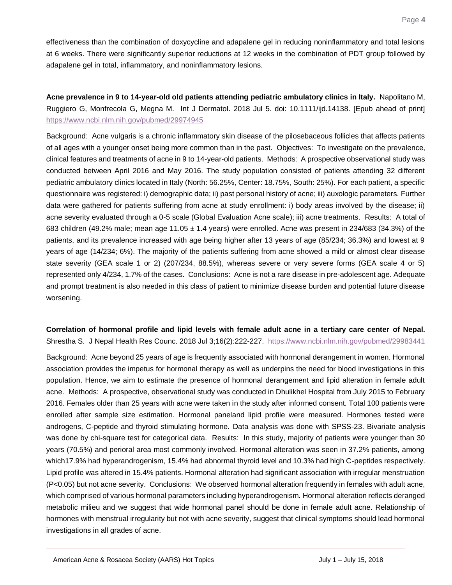effectiveness than the combination of doxycycline and adapalene gel in reducing noninflammatory and total lesions at 6 weeks. There were significantly superior reductions at 12 weeks in the combination of PDT group followed by adapalene gel in total, inflammatory, and noninflammatory lesions.

<span id="page-4-0"></span>**Acne prevalence in 9 to 14-year-old old patients attending pediatric ambulatory clinics in Italy.** Napolitano M, Ruggiero G, Monfrecola G, Megna M. Int J Dermatol. 2018 Jul 5. doi: 10.1111/ijd.14138. [Epub ahead of print] <https://www.ncbi.nlm.nih.gov/pubmed/29974945>

Background: Acne vulgaris is a chronic inflammatory skin disease of the pilosebaceous follicles that affects patients of all ages with a younger onset being more common than in the past. Objectives: To investigate on the prevalence, clinical features and treatments of acne in 9 to 14-year-old patients. Methods: A prospective observational study was conducted between April 2016 and May 2016. The study population consisted of patients attending 32 different pediatric ambulatory clinics located in Italy (North: 56.25%, Center: 18.75%, South: 25%). For each patient, a specific questionnaire was registered: i) demographic data; ii) past personal history of acne; iii) auxologic parameters. Further data were gathered for patients suffering from acne at study enrollment: i) body areas involved by the disease; ii) acne severity evaluated through a 0-5 scale (Global Evaluation Acne scale); iii) acne treatments. Results: A total of 683 children (49.2% male; mean age 11.05  $\pm$  1.4 years) were enrolled. Acne was present in 234/683 (34.3%) of the patients, and its prevalence increased with age being higher after 13 years of age (85/234; 36.3%) and lowest at 9 years of age (14/234; 6%). The majority of the patients suffering from acne showed a mild or almost clear disease state severity (GEA scale 1 or 2) (207/234, 88.5%), whereas severe or very severe forms (GEA scale 4 or 5) represented only 4/234, 1.7% of the cases. Conclusions: Acne is not a rare disease in pre-adolescent age. Adequate and prompt treatment is also needed in this class of patient to minimize disease burden and potential future disease worsening.

## <span id="page-4-1"></span>**Correlation of hormonal profile and lipid levels with female adult acne in a tertiary care center of Nepal.** Shrestha S. J Nepal Health Res Counc. 2018 Jul 3;16(2):222-227. https://www.ncbi.nlm.nih.gov/pubmed/29983441

Background: Acne beyond 25 years of age is frequently associated with hormonal derangement in women. Hormonal association provides the impetus for hormonal therapy as well as underpins the need for blood investigations in this population. Hence, we aim to estimate the presence of hormonal derangement and lipid alteration in female adult acne. Methods: A prospective, observational study was conducted in Dhulikhel Hospital from July 2015 to February 2016. Females older than 25 years with acne were taken in the study after informed consent. Total 100 patients were enrolled after sample size estimation. Hormonal paneland lipid profile were measured. Hormones tested were androgens, C-peptide and thyroid stimulating hormone. Data analysis was done with SPSS-23. Bivariate analysis was done by chi-square test for categorical data. Results: In this study, majority of patients were younger than 30 years (70.5%) and perioral area most commonly involved. Hormonal alteration was seen in 37.2% patients, among which17.9% had hyperandrogenism, 15.4% had abnormal thyroid level and 10.3% had high C-peptides respectively. Lipid profile was altered in 15.4% patients. Hormonal alteration had significant association with irregular menstruation (P<0.05) but not acne severity. Conclusions: We observed hormonal alteration frequently in females with adult acne, which comprised of various hormonal parameters including hyperandrogenism. Hormonal alteration reflects deranged metabolic milieu and we suggest that wide hormonal panel should be done in female adult acne. Relationship of hormones with menstrual irregularity but not with acne severity, suggest that clinical symptoms should lead hormonal investigations in all grades of acne.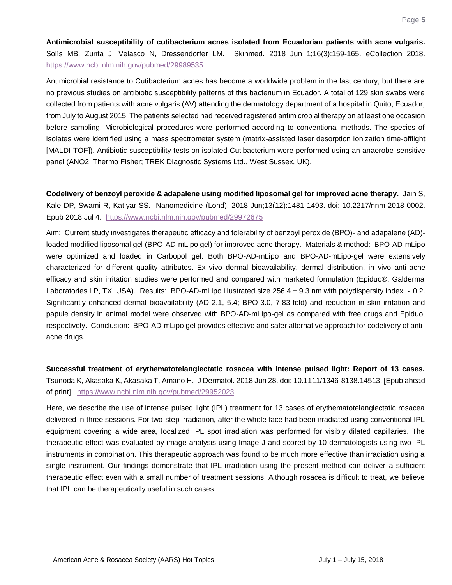<span id="page-5-0"></span>**Antimicrobial susceptibility of cutibacterium acnes isolated from Ecuadorian patients with acne vulgaris.**  Solís MB, Zurita J, Velasco N, Dressendorfer LM. Skinmed. 2018 Jun 1;16(3):159-165. eCollection 2018. <https://www.ncbi.nlm.nih.gov/pubmed/29989535>

Antimicrobial resistance to Cutibacterium acnes has become a worldwide problem in the last century, but there are no previous studies on antibiotic susceptibility patterns of this bacterium in Ecuador. A total of 129 skin swabs were collected from patients with acne vulgaris (AV) attending the dermatology department of a hospital in Quito, Ecuador, from July to August 2015. The patients selected had received registered antimicrobial therapy on at least one occasion before sampling. Microbiological procedures were performed according to conventional methods. The species of isolates were identified using a mass spectrometer system (matrix-assisted laser desorption ionization time-offlight [MALDI-TOF]). Antibiotic susceptibility tests on isolated Cutibacterium were performed using an anaerobe-sensitive panel (ANO2; Thermo Fisher; TREK Diagnostic Systems Ltd., West Sussex, UK).

<span id="page-5-1"></span>**Codelivery of benzoyl peroxide & adapalene using modified liposomal gel for improved acne therapy.** Jain S, Kale DP, Swami R, Katiyar SS. Nanomedicine (Lond). 2018 Jun;13(12):1481-1493. doi: 10.2217/nnm-2018-0002. Epub 2018 Jul 4. <https://www.ncbi.nlm.nih.gov/pubmed/29972675>

Aim: Current study investigates therapeutic efficacy and tolerability of benzoyl peroxide (BPO)- and adapalene (AD) loaded modified liposomal gel (BPO-AD-mLipo gel) for improved acne therapy. Materials & method: BPO-AD-mLipo were optimized and loaded in Carbopol gel. Both BPO-AD-mLipo and BPO-AD-mLipo-gel were extensively characterized for different quality attributes. Ex vivo dermal bioavailability, dermal distribution, in vivo anti-acne efficacy and skin irritation studies were performed and compared with marketed formulation (Epiduo®, Galderma Laboratories LP, TX, USA). Results: BPO-AD-mLipo illustrated size 256.4 ± 9.3 nm with polydispersity index ∼ 0.2. Significantly enhanced dermal bioavailability (AD-2.1, 5.4; BPO-3.0, 7.83-fold) and reduction in skin irritation and papule density in animal model were observed with BPO-AD-mLipo-gel as compared with free drugs and Epiduo, respectively. Conclusion: BPO-AD-mLipo gel provides effective and safer alternative approach for codelivery of antiacne drugs.

<span id="page-5-2"></span>**Successful treatment of erythematotelangiectatic rosacea with intense pulsed light: Report of 13 cases.** Tsunoda K, Akasaka K, Akasaka T, Amano H. J Dermatol. 2018 Jun 28. doi: 10.1111/1346-8138.14513. [Epub ahead of print] <https://www.ncbi.nlm.nih.gov/pubmed/29952023>

Here, we describe the use of intense pulsed light (IPL) treatment for 13 cases of erythematotelangiectatic rosacea delivered in three sessions. For two-step irradiation, after the whole face had been irradiated using conventional IPL equipment covering a wide area, localized IPL spot irradiation was performed for visibly dilated capillaries. The therapeutic effect was evaluated by image analysis using Image J and scored by 10 dermatologists using two IPL instruments in combination. This therapeutic approach was found to be much more effective than irradiation using a single instrument. Our findings demonstrate that IPL irradiation using the present method can deliver a sufficient therapeutic effect even with a small number of treatment sessions. Although rosacea is difficult to treat, we believe that IPL can be therapeutically useful in such cases.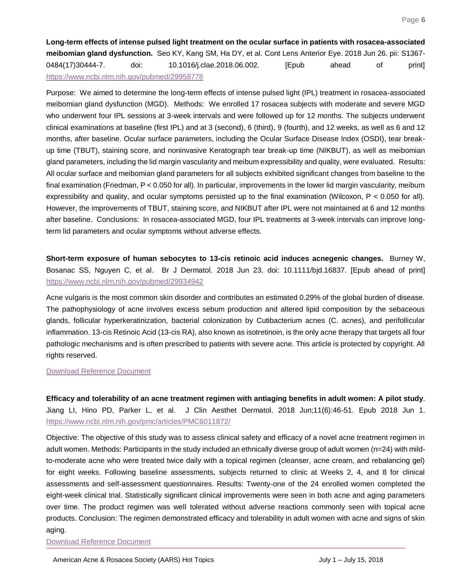<span id="page-6-0"></span>**Long-term effects of intense pulsed light treatment on the ocular surface in patients with rosacea-associated meibomian gland dysfunction.** Seo KY, Kang SM, Ha DY, et al. Cont Lens Anterior Eye. 2018 Jun 26. pii: S1367- 0484(17)30444-7. doi: 10.1016/j.clae.2018.06.002. [Epub ahead of print] <https://www.ncbi.nlm.nih.gov/pubmed/29958778>

Purpose: We aimed to determine the long-term effects of intense pulsed light (IPL) treatment in rosacea-associated meibomian gland dysfunction (MGD). Methods: We enrolled 17 rosacea subjects with moderate and severe MGD who underwent four IPL sessions at 3-week intervals and were followed up for 12 months. The subjects underwent clinical examinations at baseline (first IPL) and at 3 (second), 6 (third), 9 (fourth), and 12 weeks, as well as 6 and 12 months, after baseline. Ocular surface parameters, including the Ocular Surface Disease Index (OSDI), tear breakup time (TBUT), staining score, and noninvasive Keratograph tear break-up time (NIKBUT), as well as meibomian gland parameters, including the lid margin vascularity and meibum expressibility and quality, were evaluated. Results: All ocular surface and meibomian gland parameters for all subjects exhibited significant changes from baseline to the final examination (Friedman, P < 0.050 for all). In particular, improvements in the lower lid margin vascularity, meibum expressibility and quality, and ocular symptoms persisted up to the final examination (Wilcoxon, P < 0.050 for all). However, the improvements of TBUT, staining score, and NIKBUT after IPL were not maintained at 6 and 12 months after baseline. Conclusions: In rosacea-associated MGD, four IPL treatments at 3-week intervals can improve longterm lid parameters and ocular symptoms without adverse effects.

<span id="page-6-1"></span>**Short-term exposure of human sebocytes to 13-cis retinoic acid induces acnegenic changes.** Burney W, Bosanac SS, Nguyen C, et al. Br J Dermatol. 2018 Jun 23. doi: 10.1111/bjd.16837. [Epub ahead of print] <https://www.ncbi.nlm.nih.gov/pubmed/29934942>

Acne vulgaris is the most common skin disorder and contributes an estimated 0.29% of the global burden of disease. The pathophysiology of acne involves excess sebum production and altered lipid composition by the sebaceous glands, follicular hyperkeratinization, bacterial colonization by Cutibacterium acnes (C. acnes), and perifollicular inflammation. 13-cis Retinoic Acid (13-cis RA), also known as isotretinoin, is the only acne therapy that targets all four pathologic mechanisms and is often prescribed to patients with severe acne. This article is protected by copyright. All rights reserved.

#### [Download Reference Document](http://files.constantcontact.com/c2fa20d1101/e3b597ab-655f-4474-b457-fea3e592667e.pdf?ver=1530233412000)

<span id="page-6-2"></span>**Efficacy and tolerability of an acne treatment regimen with antiaging benefits in adult women: A pilot study**. Jiang LI, Hino PD, Parker L, et al. J Clin Aesthet Dermatol. 2018 Jun;11(6):46-51. Epub 2018 Jun 1. <https://www.ncbi.nlm.nih.gov/pmc/articles/PMC6011872/>

Objective: The objective of this study was to assess clinical safety and efficacy of a novel acne treatment regimen in adult women. Methods: Participants in the study included an ethnically diverse group of adult women (n=24) with mildto-moderate acne who were treated twice daily with a topical regimen (cleanser, acne cream, and rebalancing gel) for eight weeks. Following baseline assessments, subjects returned to clinic at Weeks 2, 4, and 8 for clinical assessments and self-assessment questionnaires. Results: Twenty-one of the 24 enrolled women completed the eight-week clinical trial. Statistically significant clinical improvements were seen in both acne and aging parameters over time. The product regimen was well tolerated without adverse reactions commonly seen with topical acne products. Conclusion: The regimen demonstrated efficacy and tolerability in adult women with acne and signs of skin aging.

[Download Reference Document](http://files.constantcontact.com/c2fa20d1101/45a2fea6-0333-463a-8004-636fba1b0ce8.pdf)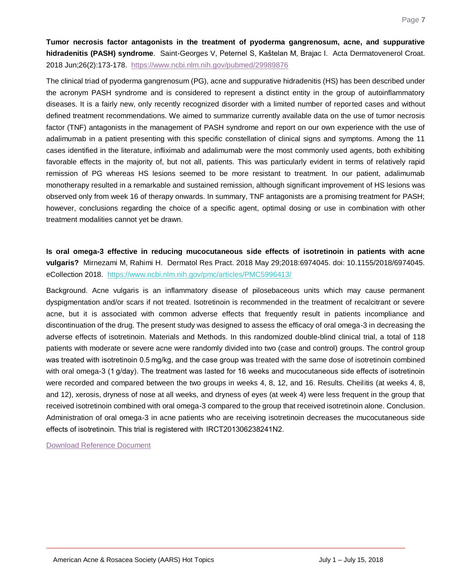<span id="page-7-0"></span>**Tumor necrosis factor antagonists in the treatment of pyoderma gangrenosum, acne, and suppurative hidradenitis (PASH) syndrome**. Saint-Georges V, Peternel S, Kaštelan M, Brajac I. Acta Dermatovenerol Croat. 2018 Jun;26(2):173-178.<https://www.ncbi.nlm.nih.gov/pubmed/29989876>

The clinical triad of pyoderma gangrenosum (PG), acne and suppurative hidradenitis (HS) has been described under the acronym PASH syndrome and is considered to represent a distinct entity in the group of autoinflammatory diseases. It is a fairly new, only recently recognized disorder with a limited number of reported cases and without defined treatment recommendations. We aimed to summarize currently available data on the use of tumor necrosis factor (TNF) antagonists in the management of PASH syndrome and report on our own experience with the use of adalimumab in a patient presenting with this specific constellation of clinical signs and symptoms. Among the 11 cases identified in the literature, infliximab and adalimumab were the most commonly used agents, both exhibiting favorable effects in the majority of, but not all, patients. This was particularly evident in terms of relatively rapid remission of PG whereas HS lesions seemed to be more resistant to treatment. In our patient, adalimumab monotherapy resulted in a remarkable and sustained remission, although significant improvement of HS lesions was observed only from week 16 of therapy onwards. In summary, TNF antagonists are a promising treatment for PASH; however, conclusions regarding the choice of a specific agent, optimal dosing or use in combination with other treatment modalities cannot yet be drawn.

<span id="page-7-1"></span>**Is oral omega-3 effective in reducing mucocutaneous side effects of isotretinoin in patients with acne vulgaris?** Mirnezami M, Rahimi H. Dermatol Res Pract. 2018 May 29;2018:6974045. doi: 10.1155/2018/6974045. eCollection 2018. <https://www.ncbi.nlm.nih.gov/pmc/articles/PMC5996413/>

Background. Acne vulgaris is an inflammatory disease of pilosebaceous units which may cause permanent dyspigmentation and/or scars if not treated. Isotretinoin is recommended in the treatment of recalcitrant or severe acne, but it is associated with common adverse effects that frequently result in patients incompliance and discontinuation of the drug. The present study was designed to assess the efficacy of oral omega-3 in decreasing the adverse effects of isotretinoin. Materials and Methods. In this randomized double-blind clinical trial, a total of 118 patients with moderate or severe acne were randomly divided into two (case and control) groups. The control group was treated with isotretinoin 0.5 mg/kg, and the case group was treated with the same dose of isotretinoin combined with oral omega-3 (1 g/day). The treatment was lasted for 16 weeks and mucocutaneous side effects of isotretinoin were recorded and compared between the two groups in weeks 4, 8, 12, and 16. Results. Cheilitis (at weeks 4, 8, and 12), xerosis, dryness of nose at all weeks, and dryness of eyes (at week 4) were less frequent in the group that received isotretinoin combined with oral omega-3 compared to the group that received isotretinoin alone. Conclusion. Administration of oral omega-3 in acne patients who are receiving isotretinoin decreases the mucocutaneous side effects of isotretinoin. This trial is registered with  IRCT201306238241N2.

[Download Reference Document](http://files.constantcontact.com/c2fa20d1101/55487a70-0d8d-4d84-bb5f-a71d75881151.pdf)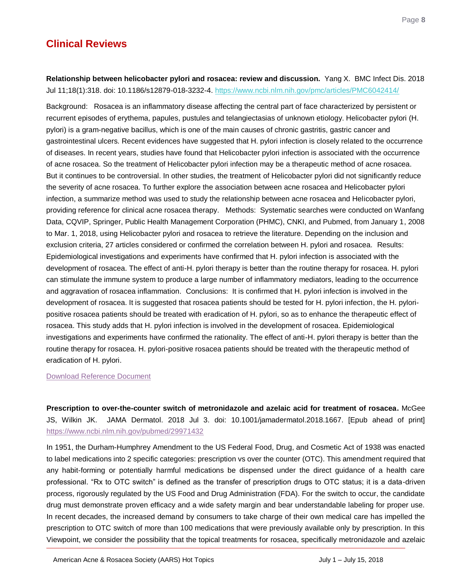## **Clinical Reviews**

<span id="page-8-0"></span>**Relationship between helicobacter pylori and rosacea: review and discussion.** Yang X. BMC Infect Dis. 2018 Jul 11;18(1):318. doi: 10.1186/s12879-018-3232-4.<https://www.ncbi.nlm.nih.gov/pmc/articles/PMC6042414/>

Background: Rosacea is an inflammatory disease affecting the central part of face characterized by persistent or recurrent episodes of erythema, papules, pustules and telangiectasias of unknown etiology. Helicobacter pylori (H. pylori) is a gram-negative bacillus, which is one of the main causes of chronic gastritis, gastric cancer and gastrointestinal ulcers. Recent evidences have suggested that H. pylori infection is closely related to the occurrence of diseases. In recent years, studies have found that Helicobacter pylori infection is associated with the occurrence of acne rosacea. So the treatment of Helicobacter pylori infection may be a therapeutic method of acne rosacea. But it continues to be controversial. In other studies, the treatment of Helicobacter pylori did not significantly reduce the severity of acne rosacea. To further explore the association between acne rosacea and Helicobacter pylori infection, a summarize method was used to study the relationship between acne rosacea and Helicobacter pylori, providing reference for clinical acne rosacea therapy. Methods: Systematic searches were conducted on Wanfang Data, CQVIP, Springer, Public Health Management Corporation (PHMC), CNKI, and Pubmed, from January 1, 2008 to Mar. 1, 2018, using Helicobacter pylori and rosacea to retrieve the literature. Depending on the inclusion and exclusion criteria, 27 articles considered or confirmed the correlation between H. pylori and rosacea. Results: Epidemiological investigations and experiments have confirmed that H. pylori infection is associated with the development of rosacea. The effect of anti-H. pylori therapy is better than the routine therapy for rosacea. H. pylori can stimulate the immune system to produce a large number of inflammatory mediators, leading to the occurrence and aggravation of rosacea inflammation. Conclusions: It is confirmed that H. pylori infection is involved in the development of rosacea. It is suggested that rosacea patients should be tested for H. pylori infection, the H. pyloripositive rosacea patients should be treated with eradication of H. pylori, so as to enhance the therapeutic effect of rosacea. This study adds that H. pylori infection is involved in the development of rosacea. Epidemiological investigations and experiments have confirmed the rationality. The effect of anti-H. pylori therapy is better than the routine therapy for rosacea. H. pylori-positive rosacea patients should be treated with the therapeutic method of eradication of H. pylori.

## [Download Reference Document](http://files.constantcontact.com/c2fa20d1101/146fe3c5-eb71-4c14-bb2e-3e669be7de3e.pdf)

<span id="page-8-1"></span>**Prescription to over-the-counter switch of metronidazole and azelaic acid for treatment of rosacea.** McGee JS, Wilkin JK. JAMA Dermatol. 2018 Jul 3. doi: 10.1001/jamadermatol.2018.1667. [Epub ahead of print] <https://www.ncbi.nlm.nih.gov/pubmed/29971432>

In 1951, the Durham-Humphrey Amendment to the US Federal Food, Drug, and Cosmetic Act of 1938 was enacted to label medications into 2 specific categories: prescription vs over the counter (OTC). This amendment required that any habit-forming or potentially harmful medications be dispensed under the direct guidance of a health care professional. "Rx to OTC switch" is defined as the transfer of prescription drugs to OTC status; it is a data-driven process, rigorously regulated by the US Food and Drug Administration (FDA). For the switch to occur, the candidate drug must demonstrate proven efficacy and a wide safety margin and bear understandable labeling for proper use. In recent decades, the increased demand by consumers to take charge of their own medical care has impelled the prescription to OTC switch of more than 100 medications that were previously available only by prescription. In this Viewpoint, we consider the possibility that the topical treatments for rosacea, specifically metronidazole and azelaic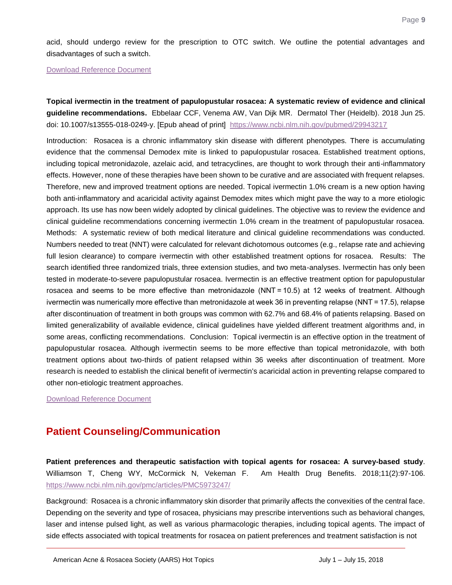acid, should undergo review for the prescription to OTC switch. We outline the potential advantages and disadvantages of such a switch.

[Download Reference Document](http://files.constantcontact.com/c2fa20d1101/38dbb2d0-53f8-426b-990b-e7cd9e1cc00e.pdf)

<span id="page-9-0"></span>**Topical ivermectin in the treatment of papulopustular rosacea: A systematic review of evidence and clinical guideline recommendations.** Ebbelaar CCF, Venema AW, Van Dijk MR. Dermatol Ther (Heidelb). 2018 Jun 25. doi: 10.1007/s13555-018-0249-y. [Epub ahead of print] https://www.ncbi.nlm.nih.gov/pubmed/29943217

Introduction: Rosacea is a chronic inflammatory skin disease with different phenotypes. There is accumulating evidence that the commensal Demodex mite is linked to papulopustular rosacea. Established treatment options, including topical metronidazole, azelaic acid, and tetracyclines, are thought to work through their anti-inflammatory effects. However, none of these therapies have been shown to be curative and are associated with frequent relapses. Therefore, new and improved treatment options are needed. Topical ivermectin 1.0% cream is a new option having both anti-inflammatory and acaricidal activity against Demodex mites which might pave the way to a more etiologic approach. Its use has now been widely adopted by clinical guidelines. The objective was to review the evidence and clinical guideline recommendations concerning ivermectin 1.0% cream in the treatment of papulopustular rosacea. Methods: A systematic review of both medical literature and clinical guideline recommendations was conducted. Numbers needed to treat (NNT) were calculated for relevant dichotomous outcomes (e.g., relapse rate and achieving full lesion clearance) to compare ivermectin with other established treatment options for rosacea. Results: The search identified three randomized trials, three extension studies, and two meta-analyses. Ivermectin has only been tested in moderate-to-severe papulopustular rosacea. Ivermectin is an effective treatment option for papulopustular rosacea and seems to be more effective than metronidazole (NNT = 10.5) at 12 weeks of treatment. Although ivermectin was numerically more effective than metronidazole at week 36 in preventing relapse (NNT = 17.5), relapse after discontinuation of treatment in both groups was common with 62.7% and 68.4% of patients relapsing. Based on limited generalizability of available evidence, clinical guidelines have yielded different treatment algorithms and, in some areas, conflicting recommendations. Conclusion: Topical ivermectin is an effective option in the treatment of papulopustular rosacea. Although ivermectin seems to be more effective than topical metronidazole, with both treatment options about two-thirds of patient relapsed within 36 weeks after discontinuation of treatment. More research is needed to establish the clinical benefit of ivermectin's acaricidal action in preventing relapse compared to other non-etiologic treatment approaches.

[Download Reference Document](http://files.constantcontact.com/c2fa20d1101/b0298c95-b039-4179-8a2b-dd9c028fd14f.pdf)

## **Patient Counseling/Communication**

<span id="page-9-1"></span>**Patient preferences and therapeutic satisfaction with topical agents for rosacea: A survey-based study**. Williamson T, Cheng WY, McCormick N, Vekeman F. Am Health Drug Benefits. 2018;11(2):97-106. <https://www.ncbi.nlm.nih.gov/pmc/articles/PMC5973247/>

Background: Rosacea is a chronic inflammatory skin disorder that primarily affects the convexities of the central face. Depending on the severity and type of rosacea, physicians may prescribe interventions such as behavioral changes, laser and intense pulsed light, as well as various pharmacologic therapies, including topical agents. The impact of side effects associated with topical treatments for rosacea on patient preferences and treatment satisfaction is not